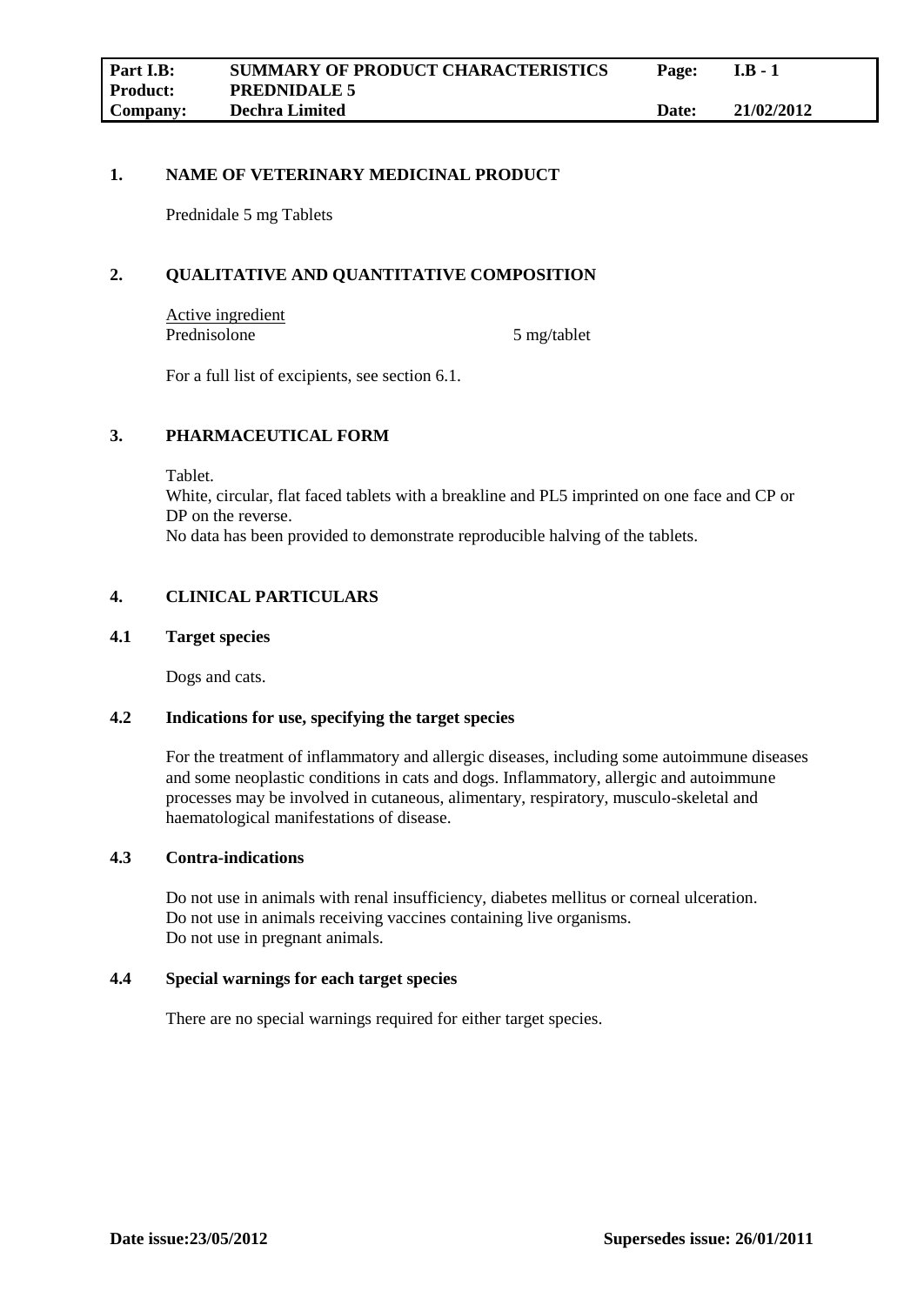## **1. NAME OF VETERINARY MEDICINAL PRODUCT**

Prednidale 5 mg Tablets

## **2. QUALITATIVE AND QUANTITATIVE COMPOSITION**

Active ingredient Prednisolone 5 mg/tablet

For a full list of excipients, see section 6.1.

## **3. PHARMACEUTICAL FORM**

Tablet.

White, circular, flat faced tablets with a breakline and PL5 imprinted on one face and CP or DP on the reverse. No data has been provided to demonstrate reproducible halving of the tablets.

## **4. CLINICAL PARTICULARS**

#### **4.1 Target species**

Dogs and cats.

## **4.2 Indications for use, specifying the target species**

For the treatment of inflammatory and allergic diseases, including some autoimmune diseases and some neoplastic conditions in cats and dogs. Inflammatory, allergic and autoimmune processes may be involved in cutaneous, alimentary, respiratory, musculo-skeletal and haematological manifestations of disease.

## **4.3 Contra-indications**

Do not use in animals with renal insufficiency, diabetes mellitus or corneal ulceration. Do not use in animals receiving vaccines containing live organisms. Do not use in pregnant animals.

#### **4.4 Special warnings for each target species**

There are no special warnings required for either target species.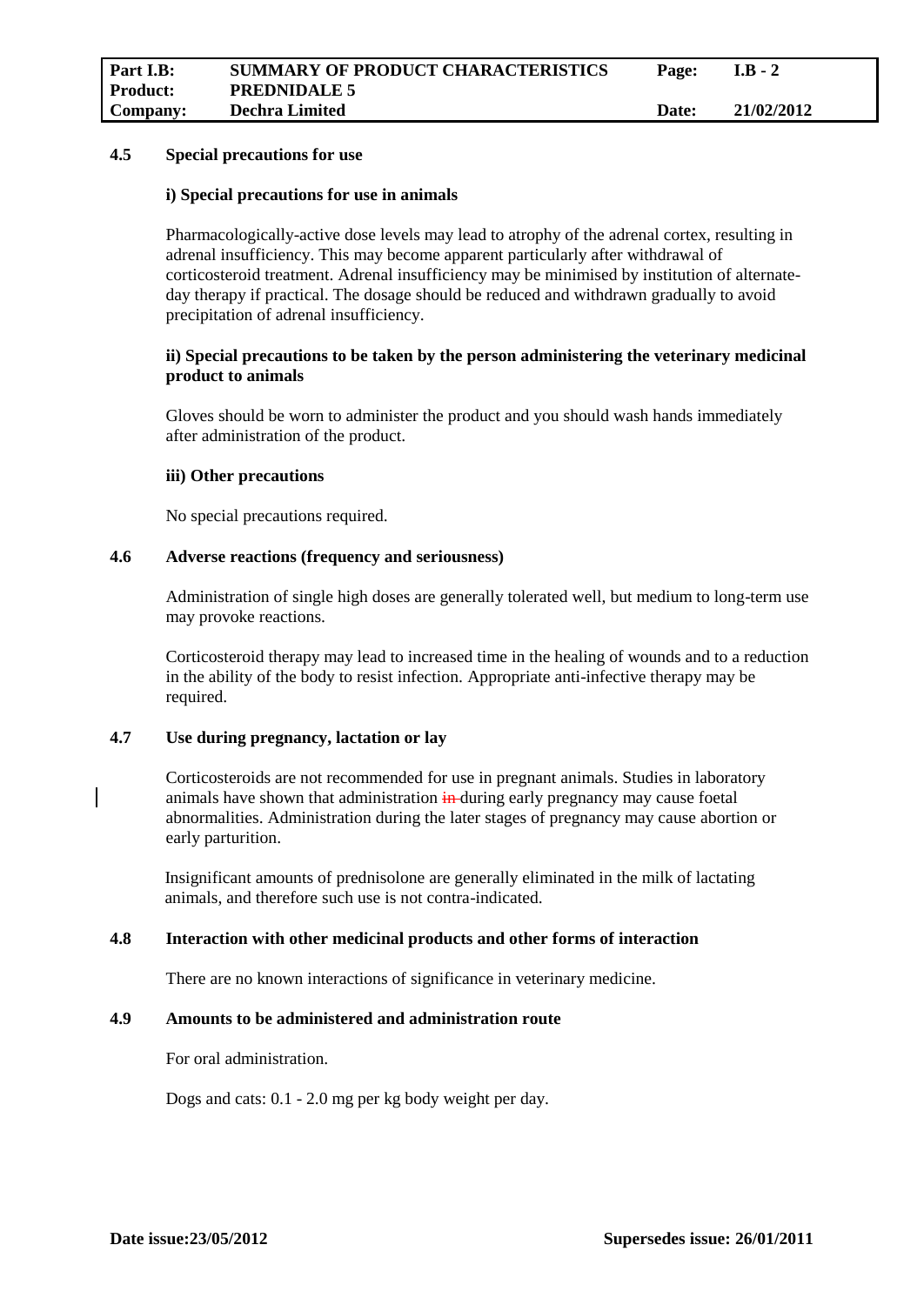#### **4.5 Special precautions for use**

#### **i) Special precautions for use in animals**

Pharmacologically-active dose levels may lead to atrophy of the adrenal cortex, resulting in adrenal insufficiency. This may become apparent particularly after withdrawal of corticosteroid treatment. Adrenal insufficiency may be minimised by institution of alternateday therapy if practical. The dosage should be reduced and withdrawn gradually to avoid precipitation of adrenal insufficiency.

## **ii) Special precautions to be taken by the person administering the veterinary medicinal product to animals**

Gloves should be worn to administer the product and you should wash hands immediately after administration of the product.

## **iii) Other precautions**

No special precautions required.

#### **4.6 Adverse reactions (frequency and seriousness)**

Administration of single high doses are generally tolerated well, but medium to long-term use may provoke reactions.

Corticosteroid therapy may lead to increased time in the healing of wounds and to a reduction in the ability of the body to resist infection. Appropriate anti-infective therapy may be required.

# **4.7 Use during pregnancy, lactation or lay**

Corticosteroids are not recommended for use in pregnant animals. Studies in laboratory animals have shown that administration in-during early pregnancy may cause foetal abnormalities. Administration during the later stages of pregnancy may cause abortion or early parturition.

Insignificant amounts of prednisolone are generally eliminated in the milk of lactating animals, and therefore such use is not contra-indicated.

## **4.8 Interaction with other medicinal products and other forms of interaction**

There are no known interactions of significance in veterinary medicine.

## **4.9 Amounts to be administered and administration route**

For oral administration.

Dogs and cats: 0.1 - 2.0 mg per kg body weight per day.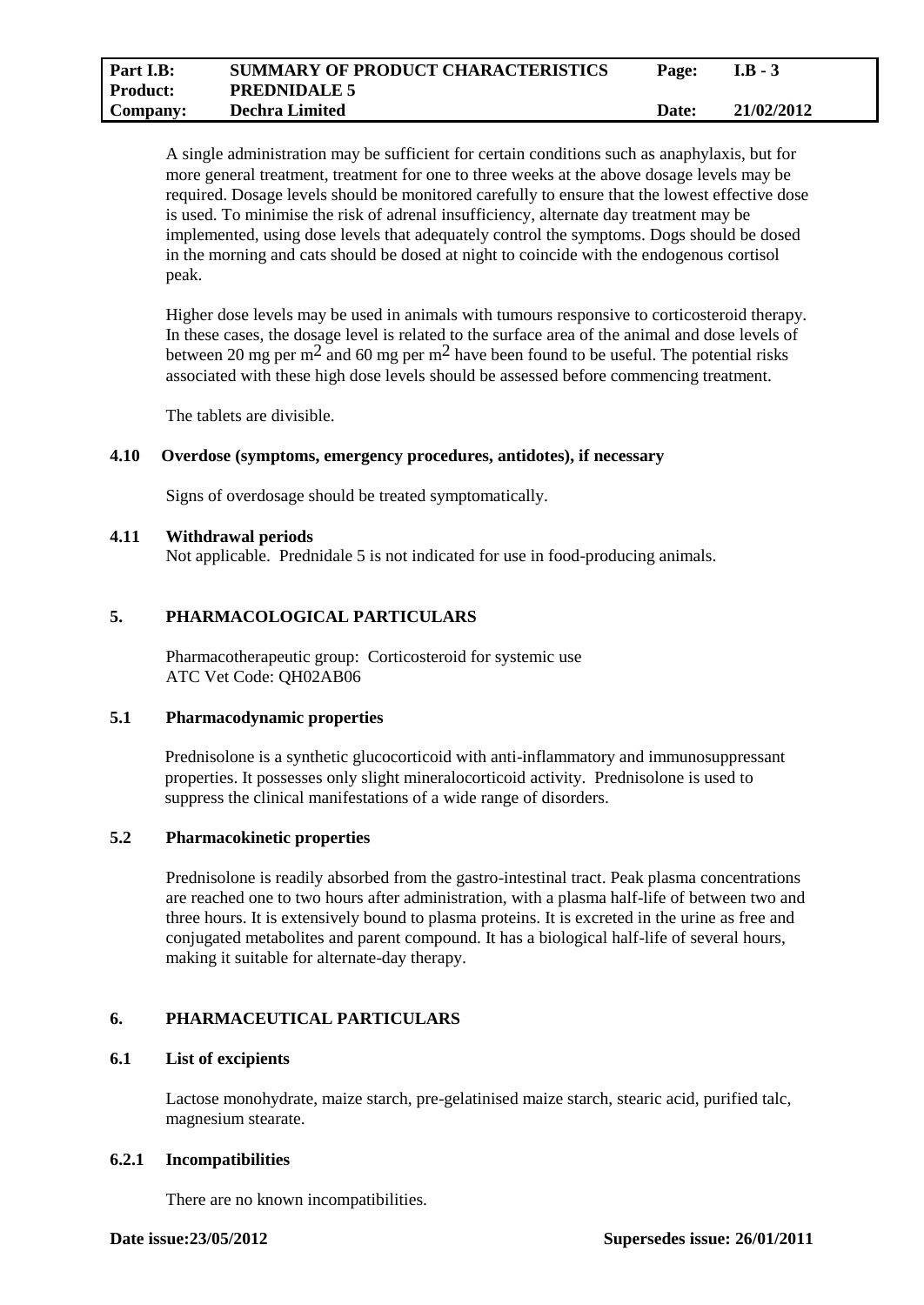| Part I.B:       | <b>SUMMARY OF PRODUCT CHARACTERISTICS</b> | Page:        | $I.B - 3$  |
|-----------------|-------------------------------------------|--------------|------------|
| <b>Product:</b> | <b>PREDNIDALE 5</b>                       |              |            |
| Company:        | <b>Dechra Limited</b>                     | <b>Date:</b> | 21/02/2012 |

A single administration may be sufficient for certain conditions such as anaphylaxis, but for more general treatment, treatment for one to three weeks at the above dosage levels may be required. Dosage levels should be monitored carefully to ensure that the lowest effective dose is used. To minimise the risk of adrenal insufficiency, alternate day treatment may be implemented, using dose levels that adequately control the symptoms. Dogs should be dosed in the morning and cats should be dosed at night to coincide with the endogenous cortisol peak.

Higher dose levels may be used in animals with tumours responsive to corticosteroid therapy. In these cases, the dosage level is related to the surface area of the animal and dose levels of between 20 mg per m<sup>2</sup> and 60 mg per m<sup>2</sup> have been found to be useful. The potential risks associated with these high dose levels should be assessed before commencing treatment.

The tablets are divisible.

## **4.10 Overdose (symptoms, emergency procedures, antidotes), if necessary**

Signs of overdosage should be treated symptomatically.

#### **4.11 Withdrawal periods**

Not applicable. Prednidale 5 is not indicated for use in food-producing animals.

## **5. PHARMACOLOGICAL PARTICULARS**

Pharmacotherapeutic group: Corticosteroid for systemic use ATC Vet Code: QH02AB06

## **5.1 Pharmacodynamic properties**

Prednisolone is a synthetic glucocorticoid with anti-inflammatory and immunosuppressant properties. It possesses only slight mineralocorticoid activity. Prednisolone is used to suppress the clinical manifestations of a wide range of disorders.

## **5.2 Pharmacokinetic properties**

Prednisolone is readily absorbed from the gastro-intestinal tract. Peak plasma concentrations are reached one to two hours after administration, with a plasma half-life of between two and three hours. It is extensively bound to plasma proteins. It is excreted in the urine as free and conjugated metabolites and parent compound. It has a biological half-life of several hours, making it suitable for alternate-day therapy.

## **6. PHARMACEUTICAL PARTICULARS**

## **6.1 List of excipients**

Lactose monohydrate, maize starch, pre-gelatinised maize starch, stearic acid, purified talc, magnesium stearate.

#### **6.2.1 Incompatibilities**

There are no known incompatibilities.